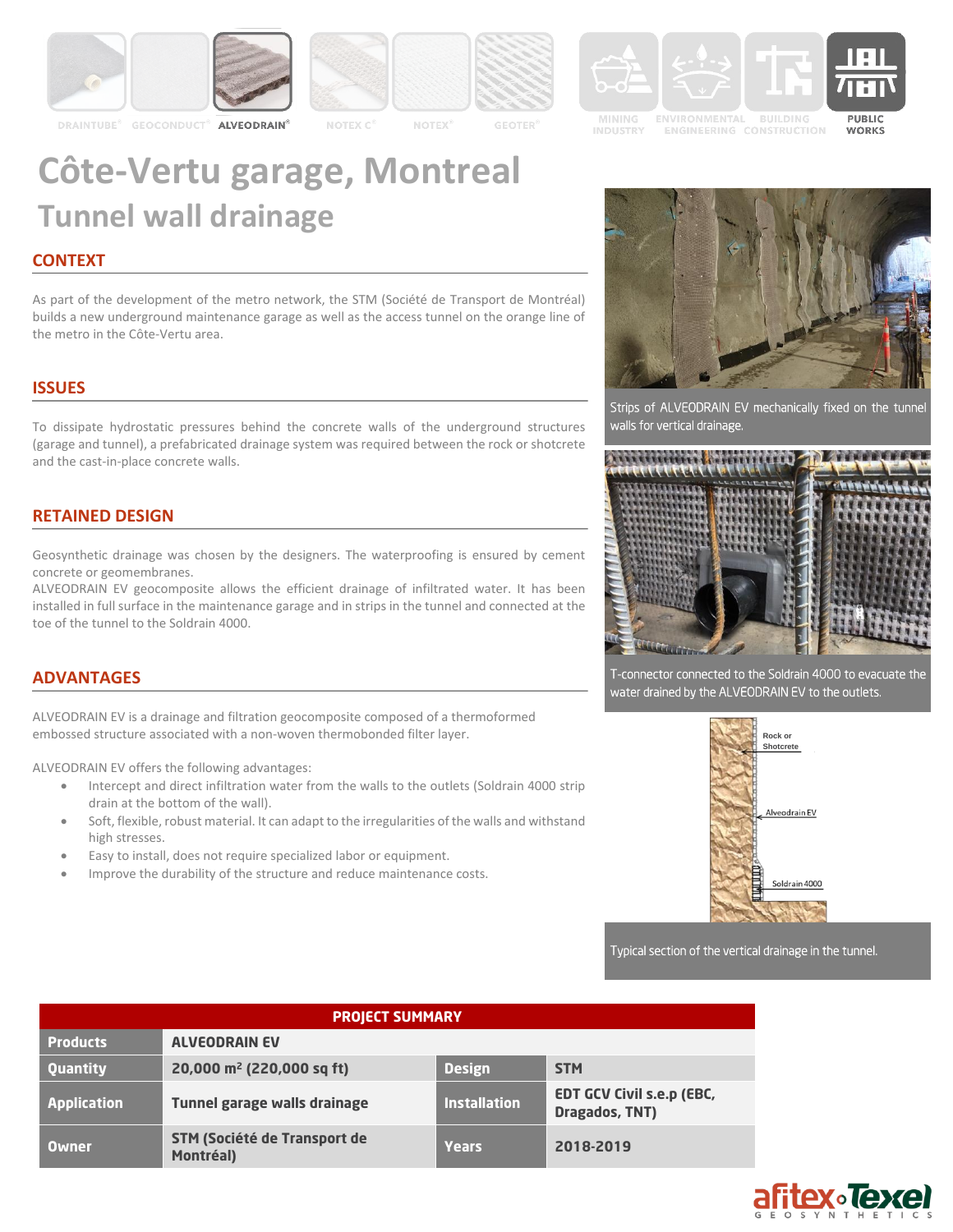











**ENGINEERING CONSTRUCTION** 

PUBLIC **WORKS** 

# **Côte-Vertu garage, Montreal Tunnel wall drainage**

## **CONTEXT**

As part of the development of the metro network, the STM (Société de Transport de Montréal) builds a new underground maintenance garage as well as the access tunnel on the orange line of the metro in the Côte-Vertu area.

# **ISSUES**

To dissipate hydrostatic pressures behind the concrete walls of the underground structures (garage and tunnel), a prefabricated drainage system was required between the rock or shotcrete and the cast-in-place concrete walls.

### **RETAINED DESIGN**

Geosynthetic drainage was chosen by the designers. The waterproofing is ensured by cement concrete or geomembranes.

ALVEODRAIN EV geocomposite allows the efficient drainage of infiltrated water. It has been installed in full surface in the maintenance garage and in strips in the tunnel and connected at the toe of the tunnel to the Soldrain 4000.

#### **ADVANTAGES**

ALVEODRAIN EV is a drainage and filtration geocomposite composed of a thermoformed embossed structure associated with a non-woven thermobonded filter layer.

ALVEODRAIN EV offers the following advantages:

- Intercept and direct infiltration water from the walls to the outlets (Soldrain 4000 strip drain at the bottom of the wall).
- Soft, flexible, robust material. It can adapt to the irregularities of the walls and withstand high stresses.
- Easy to install, does not require specialized labor or equipment.
- Improve the durability of the structure and reduce maintenance costs.



Strips of ALVEODRAIN EV mechanically fixed on the tunnel walls for vertical drainage.



T-connector connected to the Soldrain 4000 to evacuate the water drained by the ALVEODRAIN EV to the outlets.



Typical section of the vertical drainage in the tunnel.

| <b>PROJECT SUMMARY</b> |                                                  |                     |                                                    |
|------------------------|--------------------------------------------------|---------------------|----------------------------------------------------|
| <b>Products</b>        | <b>ALVEODRAIN EV</b>                             |                     |                                                    |
| Quantity               | 20,000 m <sup>2</sup> (220,000 sq ft)            | <b>Design</b>       | <b>STM</b>                                         |
| <b>Application</b>     | Tunnel garage walls drainage                     | <b>Installation</b> | <b>EDT GCV Civil s.e.p (EBC,</b><br>Dragados, TNT) |
| <b>Owner</b>           | <b>STM (Société de Transport de</b><br>Montréal) | <b>Years</b>        | 2018-2019                                          |